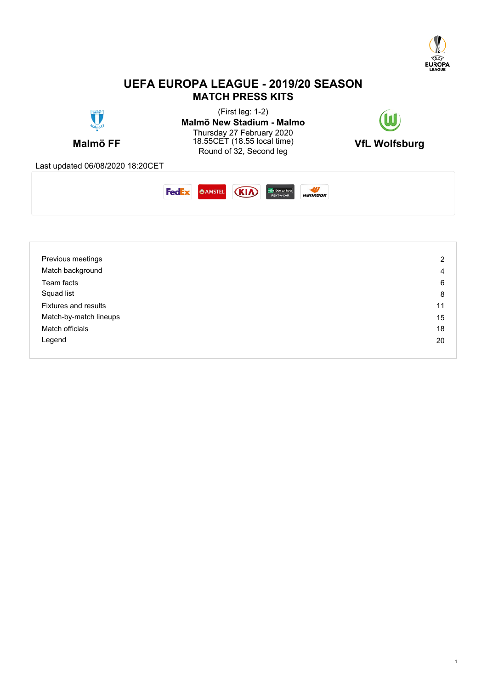

# **UEFA EUROPA LEAGUE - 2019/20 SEASON MATCH PRESS KITS**





| Previous meetings      | 2  |
|------------------------|----|
| Match background       | 4  |
| Team facts             | 6  |
| Squad list             | 8  |
| Fixtures and results   | 11 |
| Match-by-match lineups | 15 |
| Match officials        | 18 |
| Legend                 | 20 |
|                        |    |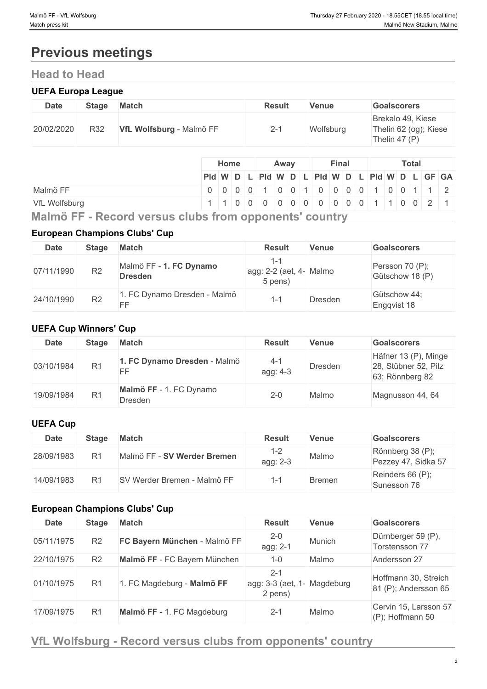# **Previous meetings**

# **Head to Head**

# **UEFA Europa League**

| <b>Date</b> | <b>Stage</b> | <b>Match</b>             | <b>Result</b> | Venue     | <b>Goalscorers</b>                                            |
|-------------|--------------|--------------------------|---------------|-----------|---------------------------------------------------------------|
| 20/02/2020  | R32          | VfL Wolfsburg - Malmö FF | $2 - 1$       | Wolfsburg | Brekalo 49, Kiese<br>Thelin 62 (og); Kiese<br>Thelin 47 $(P)$ |

|               |                                               | Home |  |  | Away | Final |  |  |  |  | <b>Total</b> |  |  |  |  |  |  |
|---------------|-----------------------------------------------|------|--|--|------|-------|--|--|--|--|--------------|--|--|--|--|--|--|
|               | Pid W D L Pid W D L Pid W D L Pid W D L GF GA |      |  |  |      |       |  |  |  |  |              |  |  |  |  |  |  |
| Malmö FF      |                                               |      |  |  |      |       |  |  |  |  |              |  |  |  |  |  |  |
| VfL Wolfsburg | 1 1 0 0 0 0 0 0 0 0 0 0 0 0 1 1 0 0 2 1       |      |  |  |      |       |  |  |  |  |              |  |  |  |  |  |  |

**Malmö FF - Record versus clubs from opponents' country**

# **European Champions Clubs' Cup**

| <b>Date</b> | Stage          | <b>Match</b>                              | <b>Result</b>                      | <b>Venue</b> | <b>Goalscorers</b>                 |
|-------------|----------------|-------------------------------------------|------------------------------------|--------------|------------------------------------|
| 07/11/1990  | R <sub>2</sub> | Malmö FF - 1. FC Dynamo<br><b>Dresden</b> | agg: 2-2 (aet, 4- Malmo<br>5 pens) |              | Persson 70 (P);<br>Gütschow 18 (P) |
| 24/10/1990  | R <sub>2</sub> | 1. FC Dynamo Dresden - Malmö<br>FF        |                                    | Dresden      | Gütschow 44;<br>Engqvist 18        |

# **UEFA Cup Winners' Cup**

| Date       | <b>Stage</b>   | <b>Match</b>                       | <b>Result</b>       | Venue   | <b>Goalscorers</b>                                              |
|------------|----------------|------------------------------------|---------------------|---------|-----------------------------------------------------------------|
| 03/10/1984 | R <sub>1</sub> | 1. FC Dynamo Dresden - Malmö<br>EE | $4 - 1$<br>agg: 4-3 | Dresden | Häfner 13 (P), Minge<br>28, Stübner 52, Pilz<br>63; Rönnberg 82 |
| 19/09/1984 | R <sub>1</sub> | Malmö FF - 1. FC Dynamo<br>Dresden | $2 - 0$             | Malmo   | Magnusson 44, 64                                                |

# **UEFA Cup**

| <b>Date</b> | <b>Stage</b> | <b>Match</b>                | <b>Result</b> | Venue  | <b>Goalscorers</b>                      |
|-------------|--------------|-----------------------------|---------------|--------|-----------------------------------------|
| 28/09/1983  | R1           | Malmö FF - SV Werder Bremen | agg: 2-3      | Malmo  | Rönnberg 38 (P);<br>Pezzey 47, Sidka 57 |
| 14/09/1983  |              | SV Werder Bremen - Malmö FF |               | Bremen | Reinders 66 (P);<br>Sunesson 76         |

# **European Champions Clubs' Cup**

| <b>Date</b> | <b>Stage</b>   | <b>Match</b>                 | <b>Result</b>                                     | <b>Venue</b> | <b>Goalscorers</b>                           |
|-------------|----------------|------------------------------|---------------------------------------------------|--------------|----------------------------------------------|
| 05/11/1975  | R <sub>2</sub> | FC Bayern München - Malmö FF | $2 - 0$<br>agg: 2-1                               | Munich       | Dürnberger 59 (P),<br>Torstensson 77         |
| 22/10/1975  | R <sub>2</sub> | Malmö FF - FC Bayern München | $1 - 0$                                           | Malmo        | Andersson 27                                 |
| 01/10/1975  | R <sub>1</sub> | 1. FC Magdeburg - Malmö FF   | $2 - 1$<br>agg: 3-3 (aet, 1- Magdeburg<br>2 pens) |              | Hoffmann 30, Streich<br>81 (P); Andersson 65 |
| 17/09/1975  | R <sub>1</sub> | Malmö FF - 1. FC Magdeburg   | $2 - 1$                                           | Malmo        | Cervin 15, Larsson 57<br>(P); Hoffmann 50    |

# **VfL Wolfsburg - Record versus clubs from opponents' country**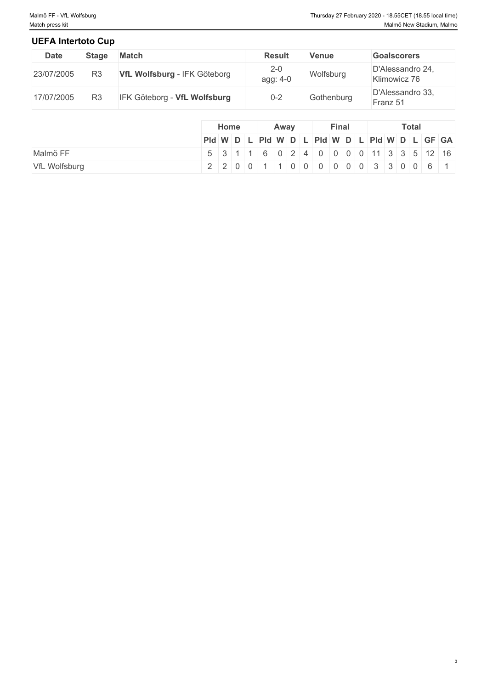# **UEFA Intertoto Cup**

| <b>Date</b> | <b>Stage</b>   | Match                        | <b>Result</b>         | <b>Venue</b> | <b>Goalscorers</b>               |
|-------------|----------------|------------------------------|-----------------------|--------------|----------------------------------|
| 23/07/2005  | R <sub>3</sub> | VfL Wolfsburg - IFK Göteborg | $2 - 0$<br>$agg: 4-0$ | Wolfsburg    | D'Alessandro 24,<br>Klimowicz 76 |
| 17/07/2005  | R3             | IFK Göteborg - VfL Wolfsburg | $0 - 2$               | Gothenburg   | D'Alessandro 33,<br>Franz 51     |

|               | Home | Away | <b>Final</b> | Total                                                                                                  |
|---------------|------|------|--------------|--------------------------------------------------------------------------------------------------------|
|               |      |      |              | $PId \mid W \mid D \mid L \mid PId \mid W \mid D \mid L \mid PId \mid W \mid D \mid L \mid GF \mid GA$ |
| Malmö FF      |      |      |              | 5 3 1 1 6 0 2 4 0 0 0 0 11 3 3 5 12 16                                                                 |
| VfL Wolfsburg |      |      |              | 2 2 0 0 1 1 0 0 0 0 0 0 0 3 3 0 0 6 1                                                                  |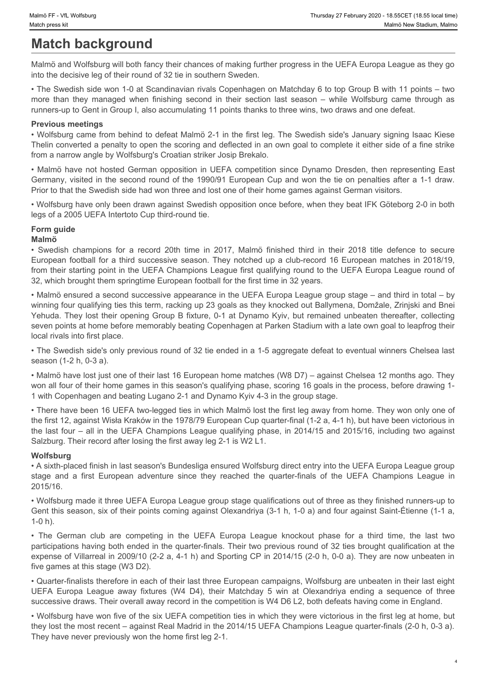# **Match background**

Malmö and Wolfsburg will both fancy their chances of making further progress in the UEFA Europa League as they go into the decisive leg of their round of 32 tie in southern Sweden.

• The Swedish side won 1-0 at Scandinavian rivals Copenhagen on Matchday 6 to top Group B with 11 points – two runners-up to Gent in Group I, also accumulating 11 points thanks to three wins, two draws and one defeat.

### **Previous meetings**

• Wolfsburg came from behind to defeat Malmö 2-1 in the first leg. The Swedish side's January signing Isaac Kiese Thelin converted a penalty to open the scoring and deflected in an own goal to complete it either side of a fine strike from a narrow angle by Wolfsburg's Croatian striker Josip Brekalo.

Malmo FF - Vt, Wolfsburg<br>Match press kit<br>Match background<br>Malmo and Wolfsburg will both fancy their chances of making further progress in the UEFA Europa League as they go<br>Malmo and Wolfsburg will both fancy their chances • Malmö have not hosted German opposition in UEFA competition since Dynamo Dresden, then representing East Germany, visited in the second round of the 1990/91 European Cup and won the tie on penalties after a 1-1 draw. Prior to that the Swedish side had won three and lost one of their home games against German visitors.

• Wolfsburg have only been drawn against Swedish opposition once before, when they beat IFK Göteborg 2-0 in both legs of a 2005 UEFA Intertoto Cup third-round tie.

# **Form guide**

### **Malmö**

European football for a third successive season. They notched up a club-record 16 European matches in 2018/19, from their starting point in the UEFA Champions League first qualifying round to the UEFA Europa League round of 32, which brought them springtime European football for the first time in 32 years.

Function with the Malmon and Worldstage The Content of American Champions (Mark Champions for a record of the CHAMPION MARCH CHAMPION MARCH CHAMPION MARCH CHAMPION MARCH CHAMPION MARCH THE SWED MARCH CHAMPION CHAMPION CHAM • Malmö ensured a second successive appearance in the UEFA Europa League group stage – and third in total – by winning four qualifying ties this term, racking up 23 goals as they knocked out Ballymena, Domžale, Zrinjski and Bnei Yehuda. They lost their opening Group B fixture, 0-1 at Dynamo Kyiv, but remained unbeaten thereafter, collecting seven points at home before memorably beating Copenhagen at Parken Stadium with a late own goal to leapfrog their local rivals into first place. s the consistent of the constrained the state of the state of the UEFA Champions and the constrained the particle in the constrained the constrained the constrained the constrained the constrained the constrained the Const Their competitive transformation of the German club are competitive to the Cerchan club are competitive to the Cerchan competitive to the Cerchan competitive to the UEFA Europa League Knock out to the Cerchan club are comp In the two seconds that there are not the two seconds that is the interest space to consider the observations (W4 D4), the interest of the observations (W4 D4), the interest of the observations (W4 D4), the interest of the

• The Swedish side's only previous round of 32 tie ended in a 1-5 aggregate defeat to eventual winners Chelsea last season (1-2 h, 0-3 a).

• Malmö have lost just one of their last 16 European home matches (W8 D7) – against Chelsea 12 months ago. They won all four of their home games in this season's qualifying phase, scoring 16 goals in the process, before drawing 1- 1 with Copenhagen and beating Lugano 2-1 and Dynamo Kyiv 4-3 in the group stage.

• There have been 16 UEFA two-legged ties in which Malmö lost the first leg away from home. They won only one of the first 12, against Wisła Kraków in the 1978/79 European Cup quarter-final (1-2 a, 4-1 h), but have been victorious in the last four – all in the UEFA Champions League qualifying phase, in 2014/15 and 2015/16, including two against Salzburg. Their record after losing the first away leg 2-1 is W2 L1.

### **Wolfsburg**

• A sixth-placed finish in last season's Bundesliga ensured Wolfsburg direct entry into the UEFA Europa League group 2015/16.

• Wolfsburg made it three UEFA Europa League group stage qualifications out of three as they finished runners-up to Gent this season, six of their points coming against Olexandriya (3-1 h, 1-0 a) and four against Saint-Étienne (1-1 a, 1-0 h).

participations having both ended in the quarter-finals. Their two previous round of 32 ties brought qualification at the expense of Villarreal in 2009/10 (2-2 a, 4-1 h) and Sporting CP in 2014/15 (2-0 h, 0-0 a). They are now unbeaten in five games at this stage (W3 D2).

• Quarter-finalists therefore in each of their last three European campaigns, Wolfsburg are unbeaten in their last eight successive draws. Their overall away record in the competition is W4 D6 L2, both defeats having come in England.

• Wolfsburg have won five of the six UEFA competition ties in which they were victorious in the first leg at home, but they lost the most recent – against Real Madrid in the 2014/15 UEFA Champions League quarter-finals (2-0 h, 0-3 a). They have never previously won the home first leg 2-1.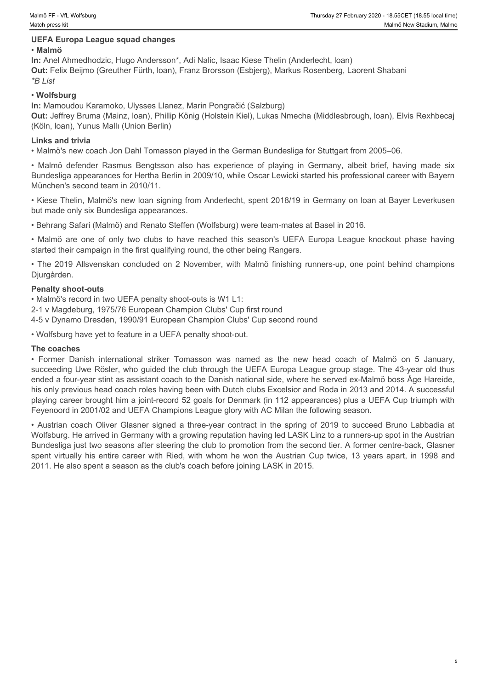#### **UEFA Europa League squad changes**

#### • **Malmö**

**In:** Anel Ahmedhodzic, Hugo Andersson\*, Adi Nalic, Isaac Kiese Thelin (Anderlecht, loan) **Out:** Felix Beijmo (Greuther Fürth, loan), Franz Brorsson (Esbjerg), Markus Rosenberg, Laorent Shabani *\*B List*

#### • **Wolfsburg**

**In:** Mamoudou Karamoko, Ulysses Llanez, Marin Pongračić (Salzburg)

**Out:** Jeffrey Bruma (Mainz, loan), Phillip König (Holstein Kiel), Lukas Nmecha (Middlesbrough, loan), Elvis Rexhbecaj (Köln, loan), Yunus Mallı (Union Berlin)

#### **Links and trivia**

• Malmö's new coach Jon Dahl Tomasson played in the German Bundesliga for Stuttgart from 2005–06.

• Malmö defender Rasmus Bengtsson also has experience of playing in Germany and Bayer Enelian New Stadium, Malmo<br>
• Malmö New Stadium, Malmo<br>
• Malmö New Stadium, Malmo<br>
• Malmö Almo<br>
• Malmö defendent Almo<br>
• Colfsteing B Bundesliga appearances for Hertha Berlin in 2009/10, while Oscar Lewicki started his professional career with Bayern München's second team in 2010/11. Hows PF- vit worksung<br>
• Horstop Europa League squad changes<br>
• Malmö BUEFA Europa League squad changes<br>
• Malmö BUEFA Europa League squad changes<br>
• Malmö BUEFA Europa League squad changes<br>
• H. Anel Ahmedhodzic, Hugo where **r** - vit, weltkery<br>**• When eres in "weltkery"**<br>**• Malmö**<br>
• Malmö (DIEFA Europa League squad changes<br>
• Malmö (Americandes on Additional States). Additional States Thelin (Andeflecht, Ioan)<br>
1n: Anel Ahmechodzic, Hu

• Kiese Thelin, Malmö's new loan signing from Anderlecht, spent 2018/19 in Germany on loan at Bayer Leverkusen but made only six Bundesliga appearances.

• Behrang Safari (Malmö) and Renato Steffen (Wolfsburg) were team-mates at Basel in 2016.

started their campaign in the first qualifying round, the other being Rangers.

Djurgården.

#### **Penalty shoot-outs**

• Malmö's record in two UEFA penalty shoot-outs is W1 L1:

2-1 v Magdeburg, 1975/76 European Champion Clubs' Cup first round

4-5 v Dynamo Dresden, 1990/91 European Champion Clubs' Cup second round

• Wolfsburg have yet to feature in a UEFA penalty shoot-out.

#### **The coaches**

• Former Former Danish international striker (1988) the new heat the new heat the new head coach of Malmö on the Malmö on the new health international striker Tomasson was named as the new head coach of Malmö on the new he succeeding Uwe Rösler, who guided the club through the UEFA Europa League group stage. The 43-year old thus ended a four-year stint as assistant coach to the Danish national side, where he served ex-Malmö boss Åge Hareide, his only previous head coach roles having been with Dutch clubs Excelsior and Roda in 2013 and 2014. A successful playing career brought him a joint-record 52 goals for Denmark (in 112 appearances) plus a UEFA Cup triumph with Feyenoord in 2001/02 and UEFA Champions League glory with AC Milan the following season. • Marine Temple a the spring of the spring of the space of the space of the space of the space of the space of the space of the space of the space of the space of the space of the space of the space of the space of the spa

Wolfsburg. He arrived in Germany with a growing reputation having led LASK Linz to a runners-up spot in the Austrian Bundesliga just two seasons after steering the club to promotion from the second tier. A former centre-back, Glasner spent virtually his entire career with Ried, with whom he won the Austrian Cup twice, 13 years apart, in 1998 and 2011. He also spent a season as the club's coach before joining LASK in 2015.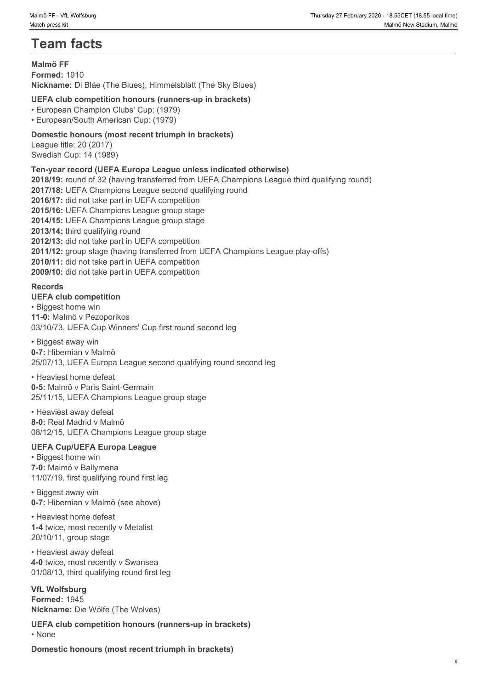# **Team facts**

# **Malmö FF**

**Formed:** 1910 **Nickname:** Di Blåe (The Blues), Himmelsblått (The Sky Blues)

# **UEFA club competition honours (runners-up in brackets)**

• European Champion Clubs' Cup: (1979)

• European/South American Cup: (1979)

# **Domestic honours (most recent triumph in brackets)**

League title: 20 (2017) Swedish Cup: 14 (1989)

# **Ten-year record (UEFA Europa League unless indicated otherwise)**

**2018/19:** round of 32 (having transferred from UEFA Champions League third qualifying round) **2017/18:** UEFA Champions League second qualifying round **2016/17:** did not take part in UEFA competition **2015/16:** UEFA Champions League group stage **2014/15:** UEFA Champions League group stage 2013/14: third qualifying round **2012/13:** did not take part in UEFA competition **2011/12:** group stage (having transferred from UEFA Champions League play-offs) **2010/11:** did not take part in UEFA competition **2009/10:** did not take part in UEFA competition

### **Records**

### **UEFA club competition**

• Biggest home win **11-0:** Malmö v Pezoporikos 03/10/73, UEFA Cup Winners' Cup first round second leg

• Biggest away win **0-7:** Hibernian v Malmö 25/07/13, UEFA Europa League second qualifying round second leg

• Heaviest home defeat **0-5:** Malmö v Paris Saint-Germain 25/11/15, UEFA Champions League group stage

• Heaviest away defeat **8-0:** Real Madrid v Malmö 08/12/15, UEFA Champions League group stage

# **UEFA Cup/UEFA Europa League**

• Biggest home win **7-0:** Malmö v Ballymena 11/07/19, first qualifying round first leg

• Biggest away win **0-7:** Hibernian v Malmö (see above)

• Heaviest home defeat **1-4** twice, most recently v Metalist 20/10/11, group stage

• Heaviest away defeat **4-0** twice, most recently v Swansea 01/08/13, third qualifying round first leg

#### **VfL Wolfsburg Formed:** 1945

**Nickname:** Die Wölfe (The Wolves)

**UEFA club competition honours (runners-up in brackets)** • None **but the contract of the contract of the contract of the contract of the contract of the contract of the contract of the contract of the contract of the contract of the contract of the contract of the contract of th** 

**Domestic honours (most recent triumph in brackets)**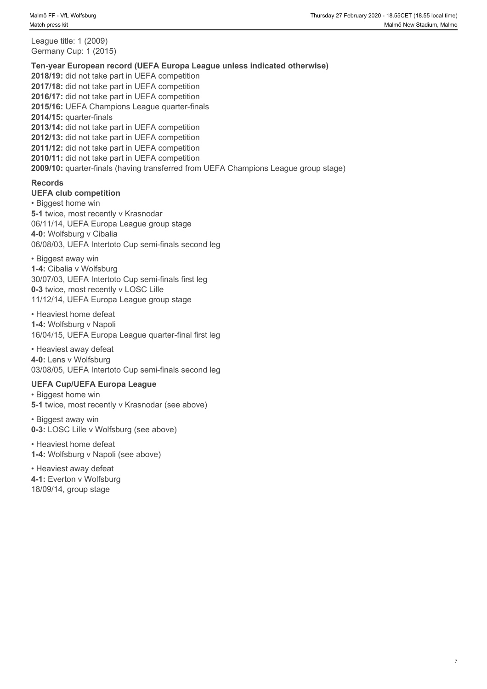League title: 1 (2009) Germany Cup: 1 (2015)

#### **Ten-year European record (UEFA Europa League unless indicated otherwise)**

**2018/19:** did not take part in UEFA competition **2017/18:** did not take part in UEFA competition **2016/17:** did not take part in UEFA competition **2015/16:** UEFA Champions League quarter-finals **2014/15:** quarter-finals **2013/14:** did not take part in UEFA competition **2012/13:** did not take part in UEFA competition **2011/12:** did not take part in UEFA competition **2010/11:** did not take part in UEFA competition **2009/10:** quarter-finals (having transferred from UEFA Champions League group stage)

#### **Records**

**UEFA club competition**

• Biggest home win **5-1** twice, most recently v Krasnodar 06/11/14, UEFA Europa League group stage **4-0:** Wolfsburg v Cibalia 06/08/03, UEFA Intertoto Cup semi-finals second leg

#### • Biggest away win

**1-4:** Cibalia v Wolfsburg 30/07/03, UEFA Intertoto Cup semi-finals first leg **0-3** twice, most recently v LOSC Lille 11/12/14, UEFA Europa League group stage

• Heaviest home defeat **1-4:** Wolfsburg v Napoli 16/04/15, UEFA Europa League quarter-final first leg

• Heaviest away defeat **4-0:** Lens v Wolfsburg 03/08/05, UEFA Intertoto Cup semi-finals second leg

#### **UEFA Cup/UEFA Europa League**

• Biggest home win **5-1** twice, most recently v Krasnodar (see above)

• Biggest away win **0-3:** LOSC Lille v Wolfsburg (see above)

• Heaviest home defeat **1-4:** Wolfsburg v Napoli (see above)

• Heaviest away defeat **4-1:** Everton v Wolfsburg 18/09/14, group stage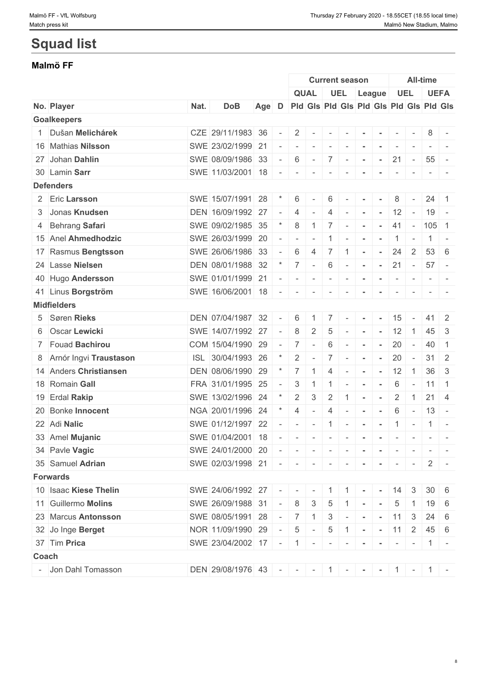# **Squad list**

# **Malmö FF**

|                          |      |                                             |     |                          |                          |                          |                          | <b>Current season</b>    |                |                 |                          |                             | <b>All-time</b> |                                                                                 |
|--------------------------|------|---------------------------------------------|-----|--------------------------|--------------------------|--------------------------|--------------------------|--------------------------|----------------|-----------------|--------------------------|-----------------------------|-----------------|---------------------------------------------------------------------------------|
|                          |      |                                             |     |                          |                          | <b>QUAL</b>              |                          | <b>UEL</b>               |                | League          |                          | <b>UEL</b>                  |                 | <b>UEFA</b>                                                                     |
| No. Player               | Nat. | <b>DoB</b>                                  | Age | D                        |                          |                          |                          |                          |                |                 |                          |                             |                 | Pid Gis Pid Gis Pid Gis Pid Gis Pid Gis                                         |
| <b>Goalkeepers</b>       |      |                                             |     |                          |                          |                          |                          |                          |                |                 |                          |                             |                 |                                                                                 |
| 1 Dušan Melichárek       |      | CZE 29/11/1983 36                           |     | $\overline{\phantom{a}}$ | 2                        |                          | $\sim$                   |                          |                |                 |                          |                             | 8               |                                                                                 |
| 16 Mathias Nilsson       |      | SWE 23/02/1999 21                           |     |                          | $\sim$                   | $\sim$                   | $\sim$                   | $\sim$                   | $\sim$         | $\sim$          | $\overline{\phantom{a}}$ |                             |                 |                                                                                 |
| 27 Johan Dahlin          |      | SWE 08/09/1986 33                           |     |                          | 6                        | $\sim$                   | 7 <sup>1</sup>           | $\sim$                   | $\sim$         | $\sim$          | 21                       | $\sim$                      |                 | $55 -$                                                                          |
| 30 Lamin Sarr            |      | SWE 11/03/2001 18                           |     |                          |                          |                          | $\overline{\phantom{a}}$ |                          |                |                 |                          |                             |                 |                                                                                 |
| <b>Defenders</b>         |      |                                             |     |                          |                          |                          |                          |                          |                |                 |                          |                             |                 |                                                                                 |
| 2 Eric Larsson           |      | SWE 15/07/1991 28                           |     |                          | 6                        |                          | 6                        |                          | $\sim$         |                 | 8                        | $\sim$                      |                 | $24 \quad 1$                                                                    |
| 3 Jonas Knudsen          |      | DEN 16/09/1992 27                           |     |                          | $\overline{4}$           |                          | 4                        |                          | $\sim$         |                 | 12                       | $\sim$                      |                 | $19 -$                                                                          |
| 4 Behrang Safari         |      | SWE 09/02/1985 35                           |     |                          | 8                        |                          | $\overline{7}$           | $\sim$                   | $\sim$         |                 | 41                       | $\sim$                      | $ 105 $ 1       |                                                                                 |
| 15 Anel Ahmedhodzic      |      | SWE 26/03/1999 20                           |     |                          | $\overline{\phantom{a}}$ | $\overline{\phantom{a}}$ | 1                        | $\sim$                   | $\sim$         | $\sim$          |                          | $1$ -                       |                 | $1 -$                                                                           |
| 17 Rasmus Bengtsson      |      | SWE 26/06/1986 33                           |     |                          | 6                        | 4                        | $\overline{7}$           | $\mathbf{1}$             | $\sim$         | $\sim$          | 24                       | $\overline{2}$              |                 | $53 \quad 6$                                                                    |
| 24 Lasse Nielsen         |      | DEN 08/01/1988 32                           |     |                          | $\overline{7}$           | $\sim$                   | 6                        | $\sim$                   | $\sim$         | $\sim$          | 21                       | $\sim$                      | $57 -$          |                                                                                 |
| 40 Hugo Andersson        |      | SWE 01/01/1999 21                           |     |                          | $\sim$                   | $\sim$                   | $\sim$                   | $\sim$                   | $\sim$         | $\mathbf{r}$    | $\sim$                   | $\sim$                      |                 | $\mathcal{L} = \mathcal{L} \times \mathcal{L} = \mathcal{L} \times \mathcal{L}$ |
| 41 Linus Borgström       |      | SWE 16/06/2001 18                           |     |                          | $\sim$                   | $\sim$                   | $\sim$                   |                          |                |                 | $\overline{\phantom{a}}$ |                             |                 |                                                                                 |
| <b>Midfielders</b>       |      |                                             |     |                          |                          |                          |                          |                          |                |                 |                          |                             |                 |                                                                                 |
| 5 Søren Rieks            |      | DEN 07/04/1987 32                           |     |                          | 6                        |                          | 7 <sup>1</sup>           | $\sim$                   | $\sim$         |                 | 15                       |                             |                 | $41 \mid 2$                                                                     |
| 6 Oscar Lewicki          |      | SWE 14/07/1992 27                           |     |                          | 8                        | $\overline{2}$           | $\overline{5}$           | $\sim$                   | $\sim$         | $\sim$ $-$      |                          | $12 \mid 1$                 |                 | 45 3                                                                            |
| 7 Fouad Bachirou         |      | COM 15/04/1990 29                           |     |                          | 7                        | $\sim$                   | 6                        |                          | $\blacksquare$ | $\sim$          | 20                       | $\sim$                      | $40 \mid 1$     |                                                                                 |
| 8 Arnór Ingvi Traustason |      | ISL 30/04/1993 26                           |     |                          | 2                        |                          | $\overline{7}$           | $\sim$                   | $\blacksquare$ | $\sim$          | 20                       | $\sim$                      |                 | $31 \quad 2$                                                                    |
| 14 Anders Christiansen   |      | DEN 08/06/1990 29                           |     |                          | $\overline{7}$           | $\mathbf{1}$             | $\overline{4}$           | $\sim$                   | $\sim$         | $\sim$ 10 $\pm$ | 12                       | $\mathbb{C}$ 1 $\mathbb{C}$ |                 | $36 \quad 3$                                                                    |
| 18 Romain Gall           |      | FRA 31/01/1995 25                           |     |                          | 3                        |                          | $\overline{1}$           | $\overline{\phantom{a}}$ | $\blacksquare$ | $\sim$          | 6                        | $\sim$                      | $11 \mid 1$     |                                                                                 |
| 19 Erdal Rakip           |      | SWE 13/02/1996 24                           |     |                          | 2                        | 3                        | $\overline{2}$           | $\mathbf{1}$             | $\blacksquare$ | $\sim$          | $\overline{2}$           | $\overline{1}$              |                 | $21 \mid 4$                                                                     |
| 20 Bonke Innocent        |      | NGA 20/01/1996 24                           |     |                          | 4                        | $\overline{\phantom{a}}$ | $\overline{4}$           | $\sim$                   | $\sim$         | $\sim$          | 6                        | $\sim$                      |                 | $13 -$                                                                          |
| 22 Adi Nalic             |      | SWE 01/12/1997 22                           |     |                          |                          | $\sim$                   | $\vert 1 \vert$          | $\sim$ $-$               | $\sim$         | $\sim$          |                          | $1$ -                       | $1 -$           |                                                                                 |
| 33 Amel Mujanic          |      | SWE 01/04/2001 18                           |     |                          | $\sim$                   | $\sim$                   | $\sim$                   |                          | $\sim$         |                 | $\sim$                   | $\sim$                      |                 | the contract                                                                    |
| 34 Pavle Vagic           |      | SWE 24/01/2000 20                           |     |                          |                          |                          |                          |                          |                |                 |                          |                             |                 |                                                                                 |
| 35 Samuel Adrian         |      | SWE 02/03/1998 21                           |     |                          |                          |                          |                          |                          |                |                 |                          |                             |                 |                                                                                 |
| <b>Forwards</b>          |      |                                             |     |                          |                          |                          |                          |                          |                |                 |                          |                             |                 |                                                                                 |
| 10 Isaac Kiese Thelin    |      | SWE 24/06/1992 27 - - - - 1 1 1 - - 14 3    |     |                          |                          |                          |                          |                          |                |                 |                          |                             |                 | $30 \mid 6$                                                                     |
| 11 Guillermo Molins      |      | SWE 26/09/1988 31                           |     |                          |                          |                          |                          |                          |                |                 |                          | $5 \mid 1 \mid$             |                 | $19 \mid 6$                                                                     |
|                          |      |                                             |     |                          | 8                        | $\mathbf{3}$             | $5\phantom{.0}$          | $1 - 1 - 1$              |                |                 |                          |                             |                 |                                                                                 |
| 23 Marcus Antonsson      |      | SWE 08/05/1991 28                           |     |                          | $-$ 7                    | $\overline{1}$           |                          | $3$ - - - - 11 3         |                |                 |                          |                             |                 | $24 \quad 6$                                                                    |
| 32 Jo Inge Berget        |      | NOR 11/09/1990 29                           |     | $\sim$ 10 $\pm$          | $5\overline{)}$          | $\sim$                   | $5\overline{)}$          | $ 1 -  -  11   2 $       |                |                 |                          |                             |                 | $45 \quad 6$                                                                    |
| 37 Tim Prica             |      | SWE 23/04/2002 17 - 1 - - - - - - - - - 1   |     |                          |                          |                          |                          |                          |                |                 |                          |                             |                 |                                                                                 |
| Coach                    |      |                                             |     |                          |                          |                          |                          |                          |                |                 |                          |                             |                 |                                                                                 |
| - Jon Dahl Tomasson      |      | DEN 29/08/1976 43 - - - - 1 - - - 1 - 1 - 1 |     |                          |                          |                          |                          |                          |                |                 |                          |                             |                 |                                                                                 |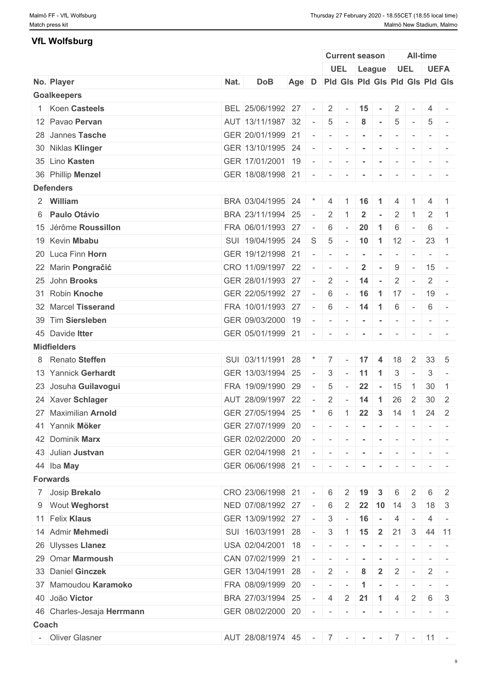| <b>VfL Wolfsburg</b>       |      |                                          |       |                          |                                 |              |                                   |                |                          |                |                                                           |                                                                                                                           |
|----------------------------|------|------------------------------------------|-------|--------------------------|---------------------------------|--------------|-----------------------------------|----------------|--------------------------|----------------|-----------------------------------------------------------|---------------------------------------------------------------------------------------------------------------------------|
|                            |      |                                          |       |                          |                                 |              | <b>Current season</b>             |                |                          |                | All-time                                                  |                                                                                                                           |
|                            |      |                                          |       |                          |                                 |              | UEL League                        |                | <b>UEL</b>               |                |                                                           | <b>UEFA</b>                                                                                                               |
| No. Player                 | Nat. | <b>DoB</b>                               | Age D |                          | Pid Gis Pid Gis Pid Gis Pid Gis |              |                                   |                |                          |                |                                                           |                                                                                                                           |
| <b>Goalkeepers</b>         |      |                                          |       |                          |                                 |              |                                   |                |                          |                |                                                           |                                                                                                                           |
| 1 Koen Casteels            |      | BEL 25/06/1992 27                        |       | $\sim$                   | $\overline{2}$                  | $\sim$       | 15                                | $\sim$         | 2                        |                | $\overline{4}$                                            |                                                                                                                           |
| 12 Pavao Pervan            |      | AUT 13/11/1987 32                        |       | $\overline{\phantom{a}}$ | 5                               |              | 8                                 | $\sim$         | 5                        |                | 5                                                         |                                                                                                                           |
| 28 Jannes Tasche           |      | GER 20/01/1999 21                        |       | $\overline{\phantom{a}}$ | $\sim$                          | $\sim$       |                                   |                | $\overline{\phantom{a}}$ |                |                                                           | $\sim$                                                                                                                    |
| 30 Niklas Klinger          |      | GER 13/10/1995 24                        |       | $\sim$                   | $\sim$                          | $\sim$       |                                   |                |                          |                |                                                           |                                                                                                                           |
| 35 Lino Kasten             |      | GER 17/01/2001 19                        |       | $\sim$                   | $\sim$                          | $\sim$       |                                   |                | $\overline{\phantom{a}}$ |                |                                                           |                                                                                                                           |
| 36 Phillip Menzel          |      | GER 18/08/1998 21 - -                    |       |                          |                                 | $-1$         | $\sim$                            | $\sim$         | $\sim$                   | $\sim$         |                                                           |                                                                                                                           |
| <b>Defenders</b>           |      |                                          |       |                          |                                 |              |                                   |                |                          |                |                                                           |                                                                                                                           |
| 2 William                  |      | BRA 03/04/1995 24                        |       |                          | 4                               | -1           | 16                                | $\overline{1}$ | $\overline{4}$           |                | $\overline{4}$                                            |                                                                                                                           |
| 6 Paulo Otávio             |      | BRA 23/11/1994 25                        |       | $\sim$                   | $\overline{2}$                  |              | $\mathbf{2}$                      | $\sim$         | 2                        | -1.            | 2                                                         | $\overline{1}$                                                                                                            |
| 15 Jérôme Roussillon       |      | FRA 06/01/1993 27                        |       | $\sim$                   | 6                               | $\sim$       | 20                                | $\mathbf{1}$   | 6                        |                | 6                                                         | $\sim$                                                                                                                    |
| 19 Kevin Mbabu             |      | SUI 19/04/1995 24                        |       | S                        | $5\overline{5}$                 | $\sim$       | $10 \quad 1$                      |                | 12                       | $\sim$         | $23 \mid 1$                                               |                                                                                                                           |
| 20 Luca Finn Horn          |      | GER 19/12/1998 21                        |       |                          |                                 |              |                                   |                |                          |                |                                                           |                                                                                                                           |
|                            |      |                                          |       | $\sim$                   | $\sim$                          | $\sim$       | $\sim$                            | $\sim$         | $\sim$                   | $\sim$         |                                                           | $\frac{1}{2} \left( \frac{1}{2} \right) \left( \frac{1}{2} \right) \left( \frac{1}{2} \right) \left( \frac{1}{2} \right)$ |
| 22 Marin Pongračić         |      | CRO 11/09/1997 22                        |       |                          | $\overline{\phantom{a}}$        |              | $\overline{2}$                    | $\sim$         | 9                        | $\sim$         | $15 -$                                                    |                                                                                                                           |
| 25 John Brooks             |      | GER 28/01/1993 27                        |       | $\sim$                   | $\overline{2}$                  | $\sim$       | 14                                | $\sim$         | $\overline{2}$           |                | $\overline{2}$                                            | $\sim$ $-$                                                                                                                |
| 31 Robin Knoche            |      | GER 22/05/1992 27                        |       | $\sim$ $ \sim$           | 6                               | $\sim$       |                                   |                | $16 \mid 1 \mid 17 \mid$ |                | $-19 -$                                                   |                                                                                                                           |
| 32 Marcel Tisserand        |      | FRA 10/01/1993 27                        |       | $\overline{\phantom{a}}$ | 6                               |              | $-14$                             | $\vert$ 1      | 6                        | $\sim$         | 6                                                         | $\sim$                                                                                                                    |
| 39 Tim Siersleben          |      | GER 09/03/2000 19                        |       | $\overline{a}$           | $\sim$                          | $\sim$       |                                   | $\sim$         | $\sim$                   | $\sim$         |                                                           | $\sim$ 100 $\sim$                                                                                                         |
| 45 Davide Itter            |      | GER 05/01/1999 21 - -                    |       |                          |                                 | $-1$         | $\sim$                            | $\sim$         | $\sim$                   | $\sim$         |                                                           |                                                                                                                           |
| <b>Midfielders</b>         |      |                                          |       |                          |                                 |              |                                   |                |                          |                |                                                           |                                                                                                                           |
| 8 Renato Steffen           |      | SUI 03/11/1991                           | 28    | $\star$                  | $7 \square$                     | $\sim$       | 17                                | $\overline{4}$ | 18                       | 2              | $33 \quad 5$                                              |                                                                                                                           |
| 13 Yannick Gerhardt        |      | GER 13/03/1994 25                        |       | $\sim$                   | 3                               | $\sim$       | 11                                | $\blacksquare$ | 3                        | $\sim$         | 3                                                         | $\sim$                                                                                                                    |
| 23 Josuha Guilavogui       |      | FRA 19/09/1990 29                        |       | $\sim$ $-$               | $\overline{5}$                  | $\sim$       | $22 - 15$                         |                |                          | $\overline{1}$ | $30 \quad 1$                                              |                                                                                                                           |
| 24 Xaver Schlager          |      | AUT 28/09/1997 22                        |       |                          | $-2$ $-14$ 1                    |              |                                   |                | $26 \quad 2$             |                | $30 \mid 2$                                               |                                                                                                                           |
| 27 Maximilian Arnold       |      | GER 27/05/1994 25                        |       | $\star$                  | 6 1                             |              | $22 \mid 3$                       |                | 14                       | $\overline{1}$ | $24 \mid 2$                                               |                                                                                                                           |
| 41 Yannik Möker            |      | GER 27/07/1999 20                        |       | $\sim$                   | $\sim$                          | $\sim$       | $\sim$                            | $\sim$         | $\sim$                   |                |                                                           | $\frac{1}{2} \left( \frac{1}{2} \right) = \frac{1}{2} \left( \frac{1}{2} \right) = \frac{1}{2}$                           |
| 42 Dominik Marx            |      | GER 02/02/2000 20                        |       | $\sim$                   | .                               |              |                                   |                | $\sim$                   | $\sim$         |                                                           | $\mathcal{L} = \{ \mathcal{L} \mid \mathcal{L} = \mathcal{L} \}$                                                          |
| 43 Julian Justvan          |      | GER 02/04/1998 21                        |       |                          | $    -$                         |              | $\sim$                            | $\sim$         | $\sim$                   |                | $\begin{array}{cccccccccc} - & & & & & & & - \end{array}$ |                                                                                                                           |
| 44 Iba May                 |      | GER 06/06/1998 21 - - - -                |       |                          |                                 |              |                                   | $\sim$         | $\sim$                   |                |                                                           |                                                                                                                           |
| <b>Forwards</b>            |      |                                          |       |                          |                                 |              |                                   |                |                          |                |                                                           |                                                                                                                           |
|                            |      | CRO 23/06/1998 21                        |       |                          |                                 |              |                                   |                |                          |                | 6                                                         |                                                                                                                           |
| 7 Josip Brekalo            |      |                                          |       | $\sim$                   | $6 \mid 2 \mid 19$              |              |                                   | 3              | 6                        | 2              |                                                           | 2                                                                                                                         |
| 9 Wout Weghorst            |      | NED 07/08/1992 27                        |       | $\sim$                   | $6\overline{6}$                 |              | 2 22 10 14                        |                |                          | 3              | $18 \mid 3$                                               |                                                                                                                           |
| 11 Felix Klaus             |      | GER 13/09/1992 27                        |       | $\sim$                   |                                 |              | $3 - 16$                          | $\sim$         | 4                        |                | 4                                                         | $\sim$                                                                                                                    |
| 14 Admir Mehmedi           |      | SUI 16/03/1991 28                        |       | $\sim$                   |                                 |              | $3 \mid 1 \mid 15 \mid 2 \mid 21$ |                |                          | $\mathbf{3}$   | 44 11                                                     |                                                                                                                           |
| 26 Ulysses Llanez          |      | USA 02/04/2001 18                        |       | $\sim$                   | $\sim$                          | $\sim$       | $\sim$                            | $\sim$         |                          |                | $\sim$                                                    |                                                                                                                           |
| 29 Omar Marmoush           |      | CAN 07/02/1999 21                        |       | $\sim$                   | $\sim$                          | $\mathbf{r}$ | $\sim$                            | $\sim$         | $\sim$                   |                |                                                           |                                                                                                                           |
| 33 Daniel Ginczek          |      | GER 13/04/1991 28                        |       | $\sim$                   | $2$ -                           |              | 8                                 | $\overline{2}$ | 2                        | $\sim$         | $2$ -                                                     |                                                                                                                           |
| 37 Mamoudou Karamoko       |      | FRA 08/09/1999 20                        |       | $\overline{a}$           | $\sim$                          | $\sim$       | $\mathbf 1$                       |                |                          |                |                                                           |                                                                                                                           |
| 40 João Victor             |      | BRA 27/03/1994 25                        |       | $\sim$                   | 4                               |              | $2 \mid 21 \mid 1 \mid$           |                | $\overline{4}$           | 2              | 6                                                         | -3                                                                                                                        |
| 46 Charles-Jesaja Herrmann |      | GER 08/02/2000 20                        |       |                          |                                 |              | $\sim$                            | $\sim$         | $\sim$                   | $\sim$         |                                                           | $\frac{1}{2} \left( \frac{1}{2} \right) = \frac{1}{2} \left( \frac{1}{2} \right) = \frac{1}{2}$                           |
| Coach                      |      |                                          |       |                          |                                 |              |                                   |                |                          |                |                                                           |                                                                                                                           |
| - Oliver Glasner           |      | AUT 28/08/1974 45 - 7 - - - 7 - 7 - 11 - |       |                          |                                 |              |                                   |                |                          |                |                                                           |                                                                                                                           |
|                            |      |                                          |       |                          |                                 |              |                                   |                |                          |                |                                                           |                                                                                                                           |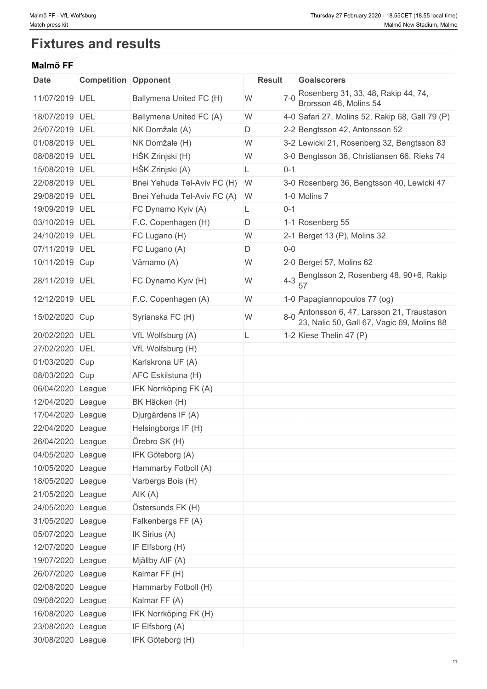# **Fixtures and results**

# **Malmö FF**

| <b>Date</b>       | <b>Competition Opponent</b> |                               | <b>Result</b> | <b>Goalscorers</b>                                                                    |
|-------------------|-----------------------------|-------------------------------|---------------|---------------------------------------------------------------------------------------|
| 11/07/2019 UEL    |                             | Ballymena United FC (H)       | $7-0$<br>W    | Rosenberg 31, 33, 48, Rakip 44, 74,<br>Brorsson 46, Molins 54                         |
| 18/07/2019 UEL    |                             | Ballymena United FC (A)       | W             | 4-0 Safari 27, Molins 52, Rakip 68, Gall 79 (P)                                       |
| 25/07/2019 UEL    |                             | NK Domžale (A)                | D             | 2-2 Bengtsson 42, Antonsson 52                                                        |
| 01/08/2019 UEL    |                             | NK Domžale (H)                | W             | 3-2 Lewicki 21, Rosenberg 32, Bengtsson 83                                            |
| 08/08/2019 UEL    |                             | HŠK Zrinjski (H)              | W             | 3-0 Bengtsson 36, Christiansen 66, Rieks 74                                           |
| 15/08/2019 UEL    |                             | HŠK Zrinjski (A)              | $0 - 1$<br>L  |                                                                                       |
| 22/08/2019 UEL    |                             | Bnei Yehuda Tel-Aviv FC (H) W |               | 3-0 Rosenberg 36, Bengtsson 40, Lewicki 47                                            |
| 29/08/2019 UEL    |                             | Bnei Yehuda Tel-Aviv FC (A)   | W             | 1-0 Molins 7                                                                          |
| 19/09/2019 UEL    |                             | FC Dynamo Kyiv (A)            | $0 - 1$<br>L  |                                                                                       |
| 03/10/2019 UEL    |                             | F.C. Copenhagen (H)           | D             | 1-1 Rosenberg 55                                                                      |
| 24/10/2019 UEL    |                             | FC Lugano (H)                 | W             | 2-1 Berget 13 (P), Molins 32                                                          |
| 07/11/2019 UEL    |                             | FC Lugano (A)                 | D<br>$0-0$    |                                                                                       |
| 10/11/2019 Cup    |                             | Värnamo (A)                   | W             | 2-0 Berget 57, Molins 62                                                              |
| 28/11/2019 UEL    |                             | FC Dynamo Kyiv (H)            | $4 - 3$<br>W  | Bengtsson 2, Rosenberg 48, 90+6, Rakip<br>57                                          |
| 12/12/2019 UEL    |                             | F.C. Copenhagen (A)           | W             | 1-0 Papagiannopoulos 77 (og)                                                          |
| 15/02/2020 Cup    |                             | Syrianska FC (H)              | $8 - 0$<br>W  | Antonsson 6, 47, Larsson 21, Traustason<br>23, Nalic 50, Gall 67, Vagic 69, Molins 88 |
| 20/02/2020 UEL    |                             | VfL Wolfsburg (A)             |               | 1-2 Kiese Thelin 47 (P)                                                               |
| 27/02/2020 UEL    |                             | VfL Wolfsburg (H)             |               |                                                                                       |
| 01/03/2020 Cup    |                             | Karlskrona UF (A)             |               |                                                                                       |
| 08/03/2020 Cup    |                             | AFC Eskilstuna (H)            |               |                                                                                       |
| 06/04/2020 League |                             | IFK Norrköping FK (A)         |               |                                                                                       |
| 12/04/2020 League |                             | BK Häcken (H)                 |               |                                                                                       |
| 17/04/2020 League |                             | Djurgårdens IF (A)            |               |                                                                                       |
| 22/04/2020 League |                             | Helsingborgs IF (H)           |               |                                                                                       |
| 26/04/2020 League |                             | Örebro SK (H)                 |               |                                                                                       |
| 04/05/2020 League |                             | IFK Göteborg (A)              |               |                                                                                       |
| 10/05/2020 League |                             | Hammarby Fotboll (A)          |               |                                                                                       |
| 18/05/2020 League |                             | Varbergs Bois (H)             |               |                                                                                       |
| 21/05/2020 League |                             | AIK(A)                        |               |                                                                                       |
| 24/05/2020 League |                             | Östersunds FK (H)             |               |                                                                                       |
| 31/05/2020 League |                             | Falkenbergs FF (A)            |               |                                                                                       |
| 05/07/2020 League |                             | IK Sirius (A)                 |               |                                                                                       |
| 12/07/2020 League |                             | IF Elfsborg (H)               |               |                                                                                       |
| 19/07/2020 League |                             | Mjällby AIF (A)               |               |                                                                                       |
| 26/07/2020 League |                             | Kalmar FF (H)                 |               |                                                                                       |
| 02/08/2020 League |                             | Hammarby Fotboll (H)          |               |                                                                                       |
| 09/08/2020 League |                             | Kalmar FF (A)                 |               |                                                                                       |
| 16/08/2020 League |                             | IFK Norrköping FK (H)         |               |                                                                                       |
|                   |                             |                               |               |                                                                                       |
| 23/08/2020 League |                             | IF Elfsborg (A)               |               |                                                                                       |
| 30/08/2020 League |                             | IFK Göteborg (H)              |               |                                                                                       |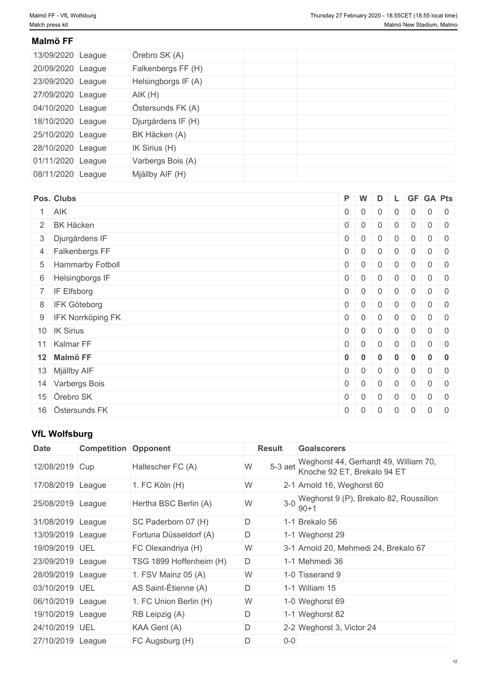# **Malmö FF**

| 13/09/2020 League | Örebro SK (A)       |  |  |
|-------------------|---------------------|--|--|
| 20/09/2020 League | Falkenbergs FF (H)  |  |  |
| 23/09/2020 League | Helsingborgs IF (A) |  |  |
| 27/09/2020 League | AIK(H)              |  |  |
| 04/10/2020 League | Östersunds FK (A)   |  |  |
| 18/10/2020 League | Djurgårdens IF (H)  |  |  |
| 25/10/2020 League | BK Häcken (A)       |  |  |
| 28/10/2020 League | IK Sirius (H)       |  |  |
| 01/11/2020 League | Varbergs Bois (A)   |  |  |
| 08/11/2020 League | Mjällby AIF (H)     |  |  |

| Pos. Clubs                 | P W            |                | D              |                |                  | L GF GA Pts |  |
|----------------------------|----------------|----------------|----------------|----------------|------------------|-------------|--|
| 1 AIK                      | $0 \mid 0$     |                | $\overline{0}$ | $\mathbf 0$    | $\overline{0}$   | $0 \mid 0$  |  |
| 2 BK Häcken                | $0 \mid 0$     |                | 0              | $\mathbf 0$    | $\overline{0}$   | $0 \mid 0$  |  |
| 3 Djurgårdens IF           | $0 \mid 0$     |                | $\overline{0}$ | $\mathbf 0$    | $\overline{0}$   | $0 \mid 0$  |  |
| 4 Falkenbergs FF           | $0 \mid 0$     |                | $\overline{0}$ | $\mathbf 0$    | $\overline{0}$   | $0 \mid 0$  |  |
| 5 Hammarby Fotboll         | $0 \mid 0$     |                | $\mathbf 0$    | $\mathbf 0$    | $\overline{0}$   | $0 \mid 0$  |  |
| 6 Helsingborgs IF          | $\overline{0}$ | $\overline{0}$ | $\mathbf 0$    | $\overline{0}$ | $\overline{0}$   | $0 \mid 0$  |  |
| 7 IF Elfsborg              | $0 \mid 0$     |                | $\mathbf 0$    | $\mathbf 0$    | $\overline{0}$   | $0 \mid 0$  |  |
| 8 IFK Göteborg             | $0 \mid 0$     |                | $\overline{0}$ | $\overline{0}$ | $\overline{0}$   | $0 \mid 0$  |  |
| 9 <b>IFK Norrköping FK</b> | $0 \mid 0$     |                | $\overline{0}$ | $\mathbf 0$    | $\overline{0}$   | $0 \mid 0$  |  |
| 10 IK Sirius               | $0 \mid 0$     |                | $\overline{0}$ | $\mathbf 0$    | $\overline{0}$   | $0 \mid 0$  |  |
| 11 Kalmar FF               | $0 \mid 0$     |                | $\overline{0}$ | $\mathbf 0$    | $\overline{0}$   | $0 \mid 0$  |  |
| 12 Malmö FF                | $0 \quad 0$    |                | $\bf{0}$       | $\bf{0}$       | $\boldsymbol{0}$ | $0 \quad 0$ |  |
| 13 Mjällby AIF             | $0 \quad 0$    |                | $\overline{0}$ | $\overline{0}$ | $\overline{0}$   | $0 \mid 0$  |  |
| 14 Varbergs Bois           | $0 \mid 0$     |                | $\overline{0}$ | $\mathbf 0$    | $\overline{0}$   | $0 \mid 0$  |  |
| 15 Örebro SK               | $0 \mid 0$     |                | $\overline{0}$ | $\mathbf 0$    | $\overline{0}$   | $0 \mid 0$  |  |
| 16 Östersunds FK           | $\overline{0}$ | $\overline{0}$ | $\mathbf 0$    | $\overline{0}$ | $\overline{0}$   | $0 \quad 0$ |  |

# **VfL Wolfsburg**

| <b>Date</b>       | <b>Competition Opponent</b> |                         | <b>Result</b>  |       | <b>Goalscorers</b>                                                   |
|-------------------|-----------------------------|-------------------------|----------------|-------|----------------------------------------------------------------------|
| 12/08/2019 Cup    |                             | Hallescher FC (A)       | $5-3$ aet<br>W |       | Weghorst 44, Gerhardt 49, William 70,<br>Knoche 92 ET, Brekalo 94 ET |
| 17/08/2019 League |                             | 1. FC Köln (H)          | W              |       | 2-1 Arnold 16, Weghorst 60                                           |
| 25/08/2019 League |                             | Hertha BSC Berlin (A)   | W              |       | 3-0 Weghorst 9 (P), Brekalo 82, Roussillon<br>$90+1$                 |
| 31/08/2019 League |                             | SC Paderborn 07 (H)     | D              |       | 1-1 Brekalo 56                                                       |
| 13/09/2019 League |                             | Fortuna Düsseldorf (A)  | D              |       | 1-1 Weghorst 29                                                      |
| 19/09/2019 UEL    |                             | FC Olexandriya (H)      | W              |       | 3-1 Arnold 20, Mehmedi 24, Brekalo 67                                |
| 23/09/2019 League |                             | TSG 1899 Hoffenheim (H) | D              |       | 1-1 Mehmedi 36                                                       |
| 28/09/2019 League |                             | 1. FSV Mainz 05 (A)     | W              |       | 1-0 Tisserand 9                                                      |
| 03/10/2019 UEL    |                             | AS Saint-Étienne (A)    | D              |       | 1-1 William 15                                                       |
| 06/10/2019 League |                             | 1. FC Union Berlin (H)  | W              |       | 1-0 Weghorst 69                                                      |
| 19/10/2019 League |                             | RB Leipzig (A)          | D              |       | 1-1 Weghorst 82                                                      |
| 24/10/2019 UEL    |                             | KAA Gent (A)            | D              |       | 2-2 Weghorst 3, Victor 24                                            |
| 27/10/2019 League |                             | FC Augsburg (H)         | D              | $0-0$ |                                                                      |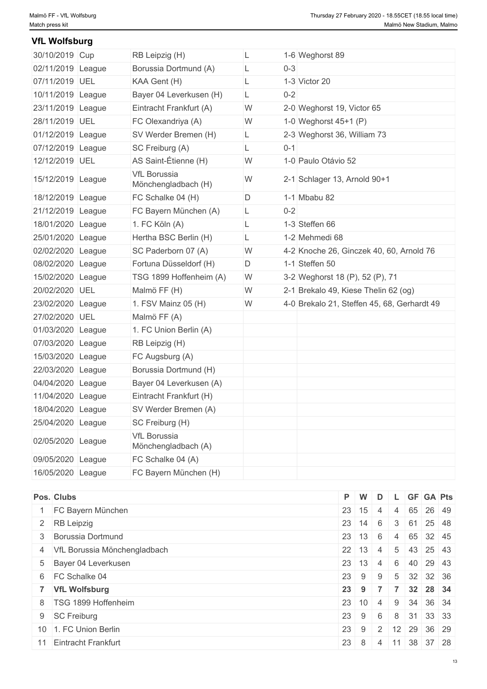#### L 1-6 Weghorst 89 L 0-3 L 1-3 Victor 20 L 0-2 W 2-0 23/11/2019 League Eintracht Frankfurt (A) Weghorst 19, Victor 65 W 1-0 28/11/2019 UEL FC Olexandriya (A) Weghorst 45+1 (P) 01/12/2019 |League SV Werder Bremen (H) L 2-3 Weghorst 36, William 73 L 0-1 W 1-0 Paulo Otávio 52 15/12/2019 League VfL Borussia<br>
W 2-1 Schlager 13, Arnold 90+1 D 1-1 Mbabu 82 L 0-2 L 1-3 Steffen 66 L 1-2 Mehmedi 68 02/02/2020 League SC Paderborn 07 (A) W 4-2 Knoche 26, Ginczek 40, 60, Arnold 76 | D 1-1 Steffen 50 W 3-2 15/02/2020 League TSG 1899 Hoffenheim (A) Weghorst 18 (P), 52 (P), 71 W 2-1 20/02/2020 UEL Malmö FF (H) Brekalo 49, Kiese Thelin 62 (og) 23/02/2020 |League |1. FSV Mainz 05 (H) |W 4-0 Brekalo 21, Steffen 45, 68, Gerhardt 49 | 30/10/2019 Cup RB Leipzig (H) L 1-6 Weghorst 89 02/11/2019 League Borussia Dortmund (A) L 0-3 07/11/2019 UEL KAA Gent (H) L 1-3 Victor 20 10/11/2019 League Bayer 04 Leverkusen (H) 07/12/2019 League SC Freiburg (A) L 0-1  $12/12/2019$  UEL AS Saint-Étienne (H) VfL Borussia<br>Mönchengladbach (H) W 18/12/2019 League  $\vert$  FC Schalke 04 (H) 21/12/2019 League FC Bayern München (A) 18/01/2020 League 1. FC Köln (A)  $25/01/2020$  League Hertha BSC Berlin (H) 08/02/2020 League Fortuna Düsseldorf (H) 27/02/2020 UEL Malmö FF (A) 01/03/2020 League 1. FC Union Berlin (A) 07/03/2020 League RB Leipzig (H) 15/03/2020 League FC Augsburg (A) 22/03/2020 League Borussia Dortmund (H) 04/04/2020 League Bayer 04 Leverkusen (A) 11/04/2020 League Eintracht Frankfurt (H) 18/04/2020 League SV Werder Bremen (A) 25/04/2020 League SC Freiburg (H) 02/05/2020 League VfL Borussia Mönchengladbach (A) 09/05/2020 League FC Schalke 04 (A) 16/05/2020 League FC Bayern München (H) **VfL Wolfsburg**

| Pos. Clubs                     | P W                  | D |            | L GF GA Pts                 |  |
|--------------------------------|----------------------|---|------------|-----------------------------|--|
| FC Bayern München              | $23 \mid 15 \mid 4$  |   |            | 4 65 26 49                  |  |
| 2 RB Leipzig                   | $23 \mid 14 \mid 6$  |   |            | 3   61   25   48            |  |
| 3 Borussia Dortmund            | $23 \mid 13 \mid 6$  |   |            | 4 65 32 45                  |  |
| 4 VfL Borussia Mönchengladbach | $22 \mid 13 \mid 4$  |   |            | $5 \mid 43 \mid 25 \mid 43$ |  |
| 5 Bayer 04 Leverkusen          | $23 \mid 13 \mid 4$  |   | 6          | 40 29 43                    |  |
| 6 FC Schalke 04                | $23 \mid 9$          | 9 |            | 5 32 32 36                  |  |
| 7 VfL Wolfsburg                | $23 \quad 9 \quad 7$ |   | $-1$ 7 $+$ | 32 28 34                    |  |
| 8 TSG 1899 Hoffenheim          | $23 \mid 10 \mid 4$  |   | 9          | 34 36 34                    |  |
| 9 SC Freiburg<br>23            | 9                    | 6 |            | 8 31 33 33                  |  |
| 10 1. FC Union Berlin          |                      |   |            | 23 9 2 12 29 36 29          |  |
| 11 Eintracht Frankfurt<br>23   | -8                   | 4 |            | $11 \ 38 \ 37 \ 28$         |  |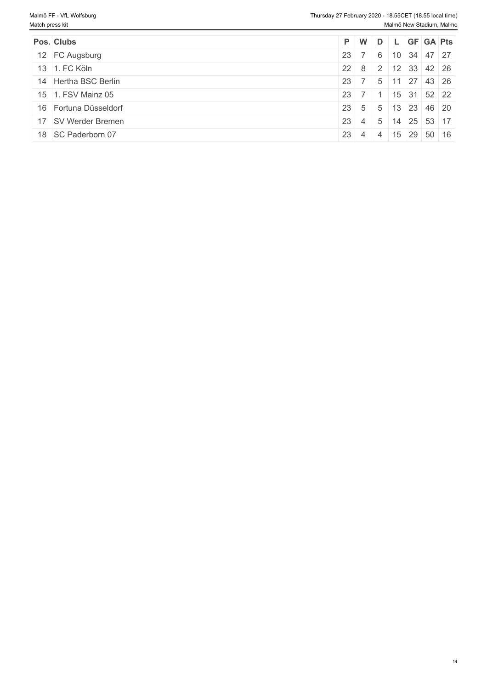| Pos. Clubs            | P W D L GF GA Pts                                  |  |                               |  |
|-----------------------|----------------------------------------------------|--|-------------------------------|--|
| 12 FC Augsburg        | $23 \mid 7 \mid 6 \mid 10 \mid 34 \mid 47 \mid 27$ |  |                               |  |
| 13 1. FC Köln         | 22 8 2 12 33 42 26                                 |  |                               |  |
| 14 Hertha BSC Berlin  | 23 7 5 11 27 43 26                                 |  |                               |  |
| 15 1. FSV Mainz 05    | $23 \mid 7 \mid 1$                                 |  | $\frac{1}{15}$   31   52   22 |  |
| 16 Fortuna Düsseldorf | 23 5 5 13 23 46 20                                 |  |                               |  |
| 17 SV Werder Bremen   | $23 \mid 4 \mid 5 \mid$                            |  | 14 25 53 17                   |  |
| 18 SC Paderborn 07    | 23 4 4 15 29 50 16                                 |  |                               |  |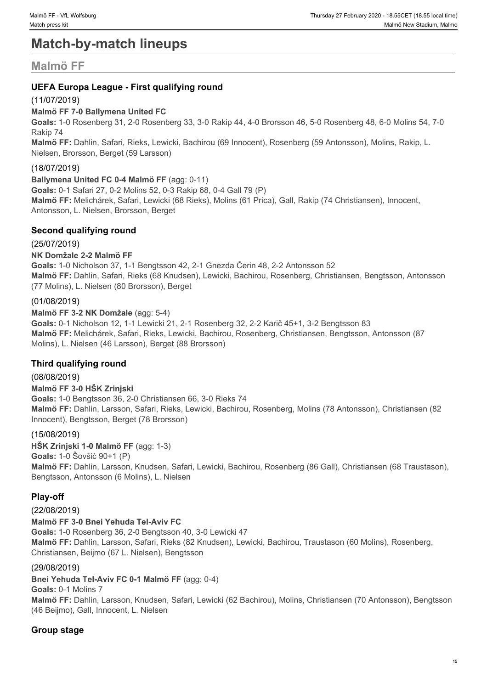# **Match-by-match lineups**

# **Malmö FF**

# **UEFA Europa League - First qualifying round**

# (11/07/2019)

# **Malmö FF 7-0 Ballymena United FC**

**Goals:** 1-0 Rosenberg 31, 2-0 Rosenberg 33, 3-0 Rakip 44, 4-0 Brorsson 46, 5-0 Rosenberg 48, 6-0 Molins 54, 7-0 Rakip 74

**Malmö FF:** Dahlin, Safari, Rieks, Lewicki, Bachirou (69 Innocent), Rosenberg (59 Antonsson), Molins, Rakip, L. Nielsen, Brorsson, Berget (59 Larsson)

# (18/07/2019)

# **Ballymena United FC 0-4 Malmö FF**(agg: 0-11)

**Goals:** 0-1 Safari 27, 0-2 Molins 52, 0-3 Rakip 68, 0-4 Gall 79 (P) **Malmö FF:** Melichárek, Safari, Lewicki (68 Rieks), Molins (61 Prica), Gall, Rakip (74 Christiansen), Innocent, Antonsson, L. Nielsen, Brorsson, Berget

# **Second qualifying round**

# (25/07/2019)

# **NK Domžale 2-2 Malmö FF**

**Goals:** 1-0 Nicholson 37, 1-1 Bengtsson 42, 2-1 Gnezda Čerin 48, 2-2 Antonsson 52 **Malmö FF:** Dahlin, Safari, Rieks (68 Knudsen), Lewicki, Bachirou, Rosenberg, Christiansen, Bengtsson, Antonsson (77 Molins), L. Nielsen (80 Brorsson), Berget

# (01/08/2019)

**Malmö FF 3-2 NK Domžale** (agg: 5-4) **Goals:** 0-1 Nicholson 12, 1-1 Lewicki 21, 2-1 Rosenberg 32, 2-2 Karič 45+1, 3-2 Bengtsson 83 **Malmö FF:** Melichárek, Safari, Rieks, Lewicki, Bachirou, Rosenberg, Christiansen, Bengtsson, Antonsson (87 Molins), L. Nielsen (46 Larsson), Berget (88 Brorsson)

# **Third qualifying round**

# (08/08/2019)

**Malmö FF 3-0 HŠK Zrinjski Goals:** 1-0 Bengtsson 36, 2-0 Christiansen 66, 3-0 Rieks 74 **Malmö FF:** Dahlin, Larsson, Safari, Rieks, Lewicki, Bachirou, Rosenberg, Molins (78 Antonsson), Christiansen (82 Innocent), Bengtsson, Berget (78 Brorsson)

# (15/08/2019)

**HŠK Zrinjski 1-0 Malmö FF** (agg: 1-3) **Goals:** 1-0 Šovšić 90+1 (P) **Malmö FF:** Dahlin, Larsson, Knudsen, Safari, Lewicki, Bachirou, Rosenberg (86 Gall), Christiansen (68 Traustason), Bengtsson, Antonsson (6 Molins), L. Nielsen

# **Play-off**

# (22/08/2019) **Malmö FF 3-0 Bnei Yehuda Tel-Aviv FC Goals:** 1-0 Rosenberg 36, 2-0 Bengtsson 40, 3-0 Lewicki 47 **Malmö FF:** Dahlin, Larsson, Safari, Rieks (82 Knudsen), Lewicki, Bachirou, Traustason (60 Molins), Rosenberg, Christiansen, Beijmo (67 L. Nielsen), Bengtsson

# (29/08/2019)

**Bnei Yehuda Tel-Aviv FC 0-1 Malmö FF**(agg: 0-4)

**Goals:** 0-1 Molins 7 **Malmö FF:** Dahlin, Larsson, Knudsen, Safari, Lewicki (62 Bachirou), Molins, Christiansen (70 Antonsson), Bengtsson (46 Beijmo), Gall, Innocent, L. Nielsen

# **Group stage**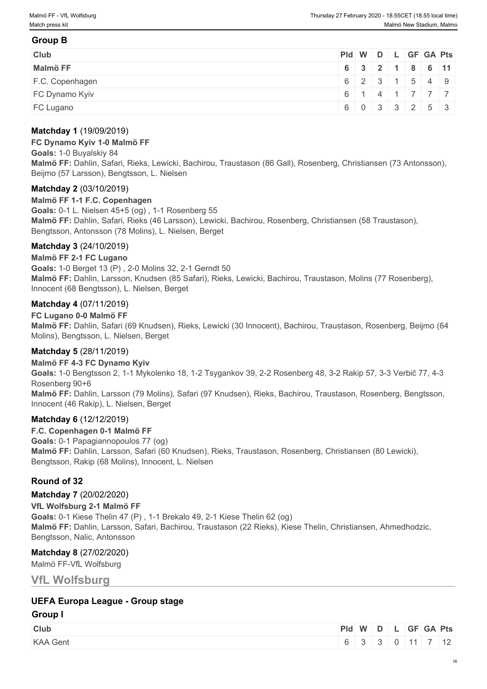# **Group B**

| <b>Club</b>     | Pid W D L GF GA Pts |                                               |  |  |  |
|-----------------|---------------------|-----------------------------------------------|--|--|--|
| Malmö FF        |                     | 6 3 2 1 8 6 11                                |  |  |  |
| F.C. Copenhagen |                     | 6 2 3 1 5 4 9                                 |  |  |  |
| FC Dynamo Kyiv  |                     | 6 1 4 1 7 7 7                                 |  |  |  |
| FC Lugano       |                     | $6 \mid 0 \mid 3 \mid 3 \mid 2 \mid 5 \mid 3$ |  |  |  |

# **Matchday 1** (19/09/2019)

#### **FC Dynamo Kyiv 1-0 Malmö FF**

**Goals:** 1-0 Buyalskiy 84 **Malmö FF:** Dahlin, Safari, Rieks, Lewicki, Bachirou, Traustason (86 Gall), Rosenberg, Christiansen (73 Antonsson), Beijmo (57 Larsson), Bengtsson, L. Nielsen

### **Matchday 2** (03/10/2019)

**Malmö FF 1-1 F.C. Copenhagen Goals:** 0-1 L. Nielsen 45+5 (og) , 1-1 Rosenberg 55 **Malmö FF:** Dahlin, Safari, Rieks (46 Larsson), Lewicki, Bachirou, Rosenberg, Christiansen (58 Traustason), Bengtsson, Antonsson (78 Molins), L. Nielsen, Berget

# **Matchday 3** (24/10/2019)

### **Malmö FF 2-1 FC Lugano**

**Goals:** 1-0 Berget 13 (P) , 2-0 Molins 32, 2-1 Gerndt 50 **Malmö FF:** Dahlin, Larsson, Knudsen (85 Safari), Rieks, Lewicki, Bachirou, Traustason, Molins (77 Rosenberg), Innocent (68 Bengtsson), L. Nielsen, Berget

### **Matchday 4** (07/11/2019)

#### **FC Lugano 0-0 Malmö FF**

**Malmö FF:** Dahlin, Safari (69 Knudsen), Rieks, Lewicki (30 Innocent), Bachirou, Traustason, Rosenberg, Beijmo (64 Molins), Bengtsson, L. Nielsen, Berget

### **Matchday 5** (28/11/2019)

#### **Malmö FF 4-3 FC Dynamo Kyiv**

**Goals:** 1-0 Bengtsson 2, 1-1 Mykolenko 18, 1-2 Tsygankov 39, 2-2 Rosenberg 48, 3-2 Rakip 57, 3-3 Verbič 77, 4-3 Rosenberg 90+6 **Malmö FF:** Dahlin, Larsson (79 Molins), Safari (97 Knudsen), Rieks, Bachirou, Traustason, Rosenberg, Bengtsson,

Innocent (46 Rakip), L. Nielsen, Berget

### **Matchday 6** (12/12/2019)

**F.C. Copenhagen 0-1 Malmö FF Goals:** 0-1 Papagiannopoulos 77 (og) **Malmö FF:** Dahlin, Larsson, Safari (60 Knudsen), Rieks, Traustason, Rosenberg, Christiansen (80 Lewicki), Bengtsson, Rakip (68 Molins), Innocent, L. Nielsen

# **Round of 32**

#### **Matchday 7** (20/02/2020)

**VfL Wolfsburg 2-1 Malmö FF Goals:** 0-1 Kiese Thelin 47 (P) , 1-1 Brekalo 49, 2-1 Kiese Thelin 62 (og) **Malmö FF:** Dahlin, Larsson, Safari, Bachirou, Traustason (22 Rieks), Kiese Thelin, Christiansen, Ahmedhodzic, Bengtsson, Nalic, Antonsson

### **Matchday 8** (27/02/2020)

Malmö FF-VfL Wolfsburg

**VfL Wolfsburg**

# **UEFA Europa League - Group stage**

#### **Group I**

| Club            | <b>Pld</b> | W D |  |  | GF GA Pts       |
|-----------------|------------|-----|--|--|-----------------|
| <b>KAA Gent</b> |            |     |  |  | $\overline{10}$ |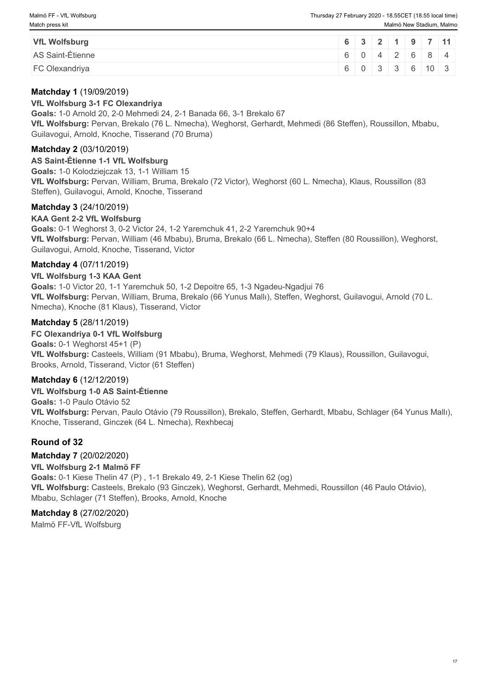| <b>VfL Wolfsburg</b> |  |  |  | $6 \ 3 \ 2 \ 1 \ 9 \ 7 \ 11$ |
|----------------------|--|--|--|------------------------------|
| AS Saint-Étienne     |  |  |  | 6042684                      |
| FC Olexandriya       |  |  |  | 6 0 3 3 6 10 3               |

# **Matchday 1** (19/09/2019)

# **VfL Wolfsburg 3-1 FC Olexandriya**

**Goals:** 1-0 Arnold 20, 2-0 Mehmedi 24, 2-1 Banada 66, 3-1 Brekalo 67 **VfL Wolfsburg:** Pervan, Brekalo (76 L. Nmecha), Weghorst, Gerhardt, Mehmedi (86 Steffen), Roussillon, Mbabu, Guilavogui, Arnold, Knoche, Tisserand (70 Bruma)

# **Matchday 2** (03/10/2019)

**AS Saint-Étienne 1-1 VfL Wolfsburg Goals:** 1-0 Kolodziejczak 13, 1-1 William 15 **VfL Wolfsburg:** Pervan, William, Bruma, Brekalo (72 Victor), Weghorst (60 L. Nmecha), Klaus, Roussillon (83 Steffen), Guilavogui, Arnold, Knoche, Tisserand

# **Matchday 3** (24/10/2019)

# **KAA Gent 2-2 VfL Wolfsburg**

**Goals:** 0-1 Weghorst 3, 0-2 Victor 24, 1-2 Yaremchuk 41, 2-2 Yaremchuk 90+4 **VfL Wolfsburg:** Pervan, William (46 Mbabu), Bruma, Brekalo (66 L. Nmecha), Steffen (80 Roussillon), Weghorst, Guilavogui, Arnold, Knoche, Tisserand, Victor

# **Matchday 4** (07/11/2019)

# **VfL Wolfsburg 1-3 KAA Gent**

**Goals:** 1-0 Victor 20, 1-1 Yaremchuk 50, 1-2 Depoitre 65, 1-3 Ngadeu-Ngadjui 76 **VfL Wolfsburg:** Pervan, William, Bruma, Brekalo (66 Yunus Mallı), Steffen, Weghorst, Guilavogui, Arnold (70 L. Nmecha), Knoche (81 Klaus), Tisserand, Victor

# **Matchday 5** (28/11/2019)

# **FC Olexandriya 0-1 VfL Wolfsburg**

**Goals:** 0-1 Weghorst 45+1 (P) **VfL Wolfsburg:** Casteels, William (91 Mbabu), Bruma, Weghorst, Mehmedi (79 Klaus), Roussillon, Guilavogui, Brooks, Arnold, Tisserand, Victor (61 Steffen)

# **Matchday 6** (12/12/2019)

**VfL Wolfsburg 1-0 AS Saint-Étienne Goals:** 1-0 Paulo Otávio 52 **VfL Wolfsburg:** Pervan, Paulo Otávio (79 Roussillon), Brekalo, Steffen, Gerhardt, Mbabu, Schlager (64 Yunus Mallı), Knoche, Tisserand, Ginczek (64 L. Nmecha), Rexhbecaj

# **Round of 32**

**Matchday 7** (20/02/2020) **VfL Wolfsburg 2-1 Malmö FF Goals:** 0-1 Kiese Thelin 47 (P) , 1-1 Brekalo 49, 2-1 Kiese Thelin 62 (og) **VfL Wolfsburg:** Casteels, Brekalo (93 Ginczek), Weghorst, Gerhardt, Mehmedi, Roussillon (46 Paulo Otávio), Mbabu, Schlager (71 Steffen), Brooks, Arnold, Knoche

# **Matchday 8** (27/02/2020)

Malmö FF-VfL Wolfsburg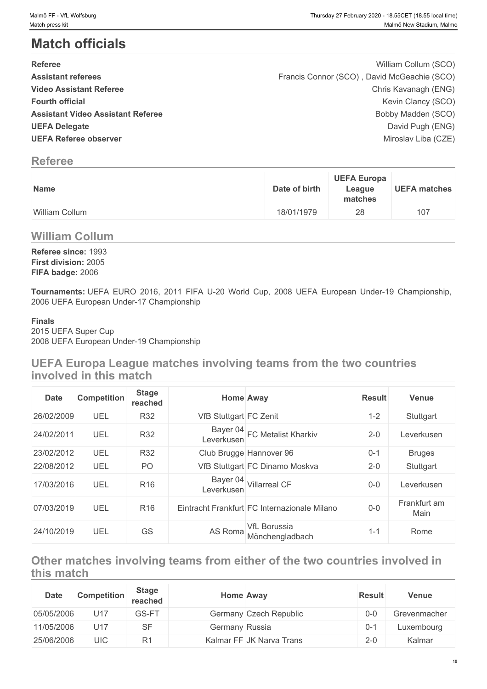# **Match officials**

| Malmö FF - VfL Wolfsburg<br>Match press kit                                                                                                                                                                                   |               |                              | Thursday 27 February 2020 - 18.55CET (18.55 local time)<br>Malmö New Stadium, Malmo                                                                                                |
|-------------------------------------------------------------------------------------------------------------------------------------------------------------------------------------------------------------------------------|---------------|------------------------------|------------------------------------------------------------------------------------------------------------------------------------------------------------------------------------|
| <b>Match officials</b>                                                                                                                                                                                                        |               |                              |                                                                                                                                                                                    |
| <b>Referee</b><br><b>Assistant referees</b><br><b>Video Assistant Referee</b><br><b>Fourth official</b><br><b>Assistant Video Assistant Referee</b><br><b>UEFA Delegate</b><br><b>UEFA Referee observer</b><br><b>Referee</b> |               |                              | William Collum (SCO)<br>Francis Connor (SCO), David McGeachie (SCO)<br>Chris Kavanagh (ENG)<br>Kevin Clancy (SCO)<br>Bobby Madden (SCO)<br>David Pugh (ENG)<br>Miroslav Liba (CZE) |
| Name                                                                                                                                                                                                                          | Date of birth | <b>UEFA Europa</b><br>League | <b>UEFA matches</b>                                                                                                                                                                |
| <b>William Collum</b>                                                                                                                                                                                                         | 18/01/1979    | matches<br>28                | 107                                                                                                                                                                                |
| <b>William Collum</b>                                                                                                                                                                                                         |               |                              |                                                                                                                                                                                    |
| Referee since: 1993<br>First division: 2005<br>FIFA badge: 2006<br>Tournaments: UEFA EURO 2016, 2011 FIFA U-20 World Cup, 2008 UEFA European Under-19 Championship,<br>2006 UEFA European Under-17 Championship               |               |                              |                                                                                                                                                                                    |
| <b>Finals</b><br>2015 UEFA Super Cup<br>2008 UEFA European Under-19 Championship                                                                                                                                              |               |                              |                                                                                                                                                                                    |
| UEFA Europa League matches involving teams from the two countries<br>involved in this match                                                                                                                                   |               |                              |                                                                                                                                                                                    |

# **Referee**

| <b>Name</b>    | <b>UEFA Europa</b><br>Date of birth<br>League<br>matches | <b>UEFA matches</b> |
|----------------|----------------------------------------------------------|---------------------|
| William Collum | 18/01/1979<br>28                                         | 107                 |

# **William Collum**

# **Finals**

# **UEFA Europa League matches involving teams from the two countries involved in this match**

| <b>Date</b> | Competition | <b>Stage</b><br>reached |                        | <b>Home Away</b>                             | <b>Result</b> | Venue                |
|-------------|-------------|-------------------------|------------------------|----------------------------------------------|---------------|----------------------|
| 26/02/2009  | UEL         | <b>R32</b>              | VfB Stuttgart FC Zenit |                                              | $1 - 2$       | Stuttgart            |
| 24/02/2011  | UEL         | <b>R32</b>              | Leverkusen             | Bayer 04 FC Metalist Kharkiv                 | $2 - 0$       | Leverkusen           |
| 23/02/2012  | UEL         | <b>R32</b>              |                        | Club Brugge Hannover 96                      | $0 - 1$       | <b>Bruges</b>        |
| 22/08/2012  | UEL         | PO                      |                        | VfB Stuttgart FC Dinamo Moskva               | $2 - 0$       | Stuttgart            |
| 17/03/2016  | UEL         | R <sub>16</sub>         | Leverkusen             | Bayer 04 Villarreal CF                       | $0-0$         | Leverkusen           |
| 07/03/2019  | UEL         | R <sub>16</sub>         |                        | Eintracht Frankfurt FC Internazionale Milano | $0-0$         | Frankfurt am<br>Main |
| 24/10/2019  | UEL         | GS                      | AS Roma                | <b>VfL Borussia</b><br>Mönchengladbach       | $1 - 1$       | Rome                 |

# **Other matches involving teams from either of the two countries involved in this match**

| <b>Date</b> | <b>Competition</b> | Stage<br>reached | <b>Home Away</b> |                          | <b>Result</b> | Venue        |
|-------------|--------------------|------------------|------------------|--------------------------|---------------|--------------|
| 05/05/2006  | U <sub>17</sub>    | GS-FT            |                  | Germany Czech Republic   | $0 - 0$       | Grevenmacher |
| 11/05/2006  | U <sub>17</sub>    | SF               | Germany Russia   |                          | $0 - 1$       | Luxembourg   |
| 25/06/2006  | <b>UIC</b>         | R <sub>1</sub>   |                  | Kalmar FF JK Narva Trans | $2 - 0$       | Kalmar       |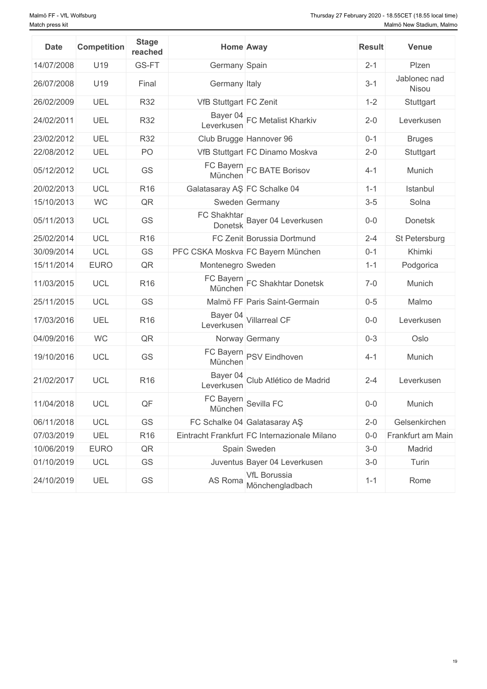| <b>Date</b> | <b>Competition</b> | <b>Stage</b><br>reached                     |                              | <b>Home Away</b>                             | <b>Result</b> | <b>Venue</b>          |
|-------------|--------------------|---------------------------------------------|------------------------------|----------------------------------------------|---------------|-----------------------|
| 14/07/2008  | U19                | GS-FT                                       | Germany Spain                |                                              | $2 - 1$       | Plzen                 |
| 26/07/2008  | U19                | Final                                       | Germany Italy                |                                              | $3-1$         | Jablonec nad<br>Nisou |
| 26/02/2009  | UEL                | <b>R32</b>                                  | VfB Stuttgart FC Zenit       |                                              | $1 - 2$       | Stuttgart             |
| 24/02/2011  | UEL                | <b>R32</b>                                  | Leverkusen                   | Bayer 04 FC Metalist Kharkiv                 | $2 - 0$       | Leverkusen            |
| 23/02/2012  | UEL                | <b>R32</b>                                  |                              | Club Brugge Hannover 96                      | $0 - 1$       | <b>Bruges</b>         |
| 22/08/2012  | UEL                | PO                                          |                              | VfB Stuttgart FC Dinamo Moskva               | $2 - 0$       | Stuttgart             |
| 05/12/2012  | <b>UCL</b>         | GS                                          |                              | FC Bayern<br>München FC BATE Borisov         | $4 - 1$       | Munich                |
| 20/02/2013  | <b>UCL</b>         | R <sub>16</sub>                             | Galatasaray AŞ FC Schalke 04 |                                              | $1 - 1$       | Istanbul              |
| 15/10/2013  | <b>WC</b>          | QR                                          |                              | Sweden Germany                               | $3-5$         | Solna                 |
| 05/11/2013  | <b>UCL</b>         | GS                                          |                              | FC Shakhtar<br>Donetsk Bayer 04 Leverkusen   | $0-0$         | Donetsk               |
| 25/02/2014  | <b>UCL</b>         | R <sub>16</sub>                             |                              | FC Zenit Borussia Dortmund                   | $2 - 4$       | St Petersburg         |
| 30/09/2014  | <b>UCL</b>         | GS                                          |                              | PFC CSKA Moskva FC Bayern München            | $0 - 1$       | Khimki                |
| 15/11/2014  | <b>EURO</b>        | $\mathsf{QR}% _{\mathsf{CL}}^{\mathsf{CL}}$ | Montenegro Sweden            |                                              | $1 - 1$       | Podgorica             |
| 11/03/2015  | <b>UCL</b>         | R <sub>16</sub>                             |                              | FC Bayern<br>München<br>FC Shakhtar Donetsk  | $7-0$         | Munich                |
| 25/11/2015  | <b>UCL</b>         | GS                                          |                              | Malmö FF Paris Saint-Germain                 | $0 - 5$       | Malmo                 |
| 17/03/2016  | UEL                | R <sub>16</sub>                             |                              | Bayer 04<br>Leverkusen<br>Nillarreal CF      | $0-0$         | Leverkusen            |
| 04/09/2016  | <b>WC</b>          | QR                                          |                              | Norway Germany                               | $0 - 3$       | Oslo                  |
| 19/10/2016  | <b>UCL</b>         | GS                                          |                              | FC Bayern<br>München<br>PSV Eindhoven        | $4 - 1$       | Munich                |
| 21/02/2017  | <b>UCL</b>         | R <sub>16</sub>                             | Leverkusen                   | Bayer 04<br>Club Atlético de Madrid          | $2 - 4$       | Leverkusen            |
| 11/04/2018  | UCL                | QF                                          |                              | FC Bayern<br>München<br>Sevilla FC           | $0-0$         | Munich                |
| 06/11/2018  | UCL                | GS                                          |                              | FC Schalke 04 Galatasaray AS                 | $2 - 0$       | Gelsenkirchen         |
| 07/03/2019  | <b>UEL</b>         | R <sub>16</sub>                             |                              | Eintracht Frankfurt FC Internazionale Milano | $0-0$         | Frankfurt am Main     |
| 10/06/2019  | <b>EURO</b>        | $\mathsf{QR}% _{\mathsf{CL}}^{\mathsf{CL}}$ |                              | Spain Sweden                                 | $3-0$         | Madrid                |
| 01/10/2019  | <b>UCL</b>         | GS                                          |                              | Juventus Bayer 04 Leverkusen                 | $3-0$         | Turin                 |
| 24/10/2019  | UEL                | GS                                          | AS Roma                      | <b>VfL Borussia</b><br>Mönchengladbach       | $1 - 1$       | Rome                  |